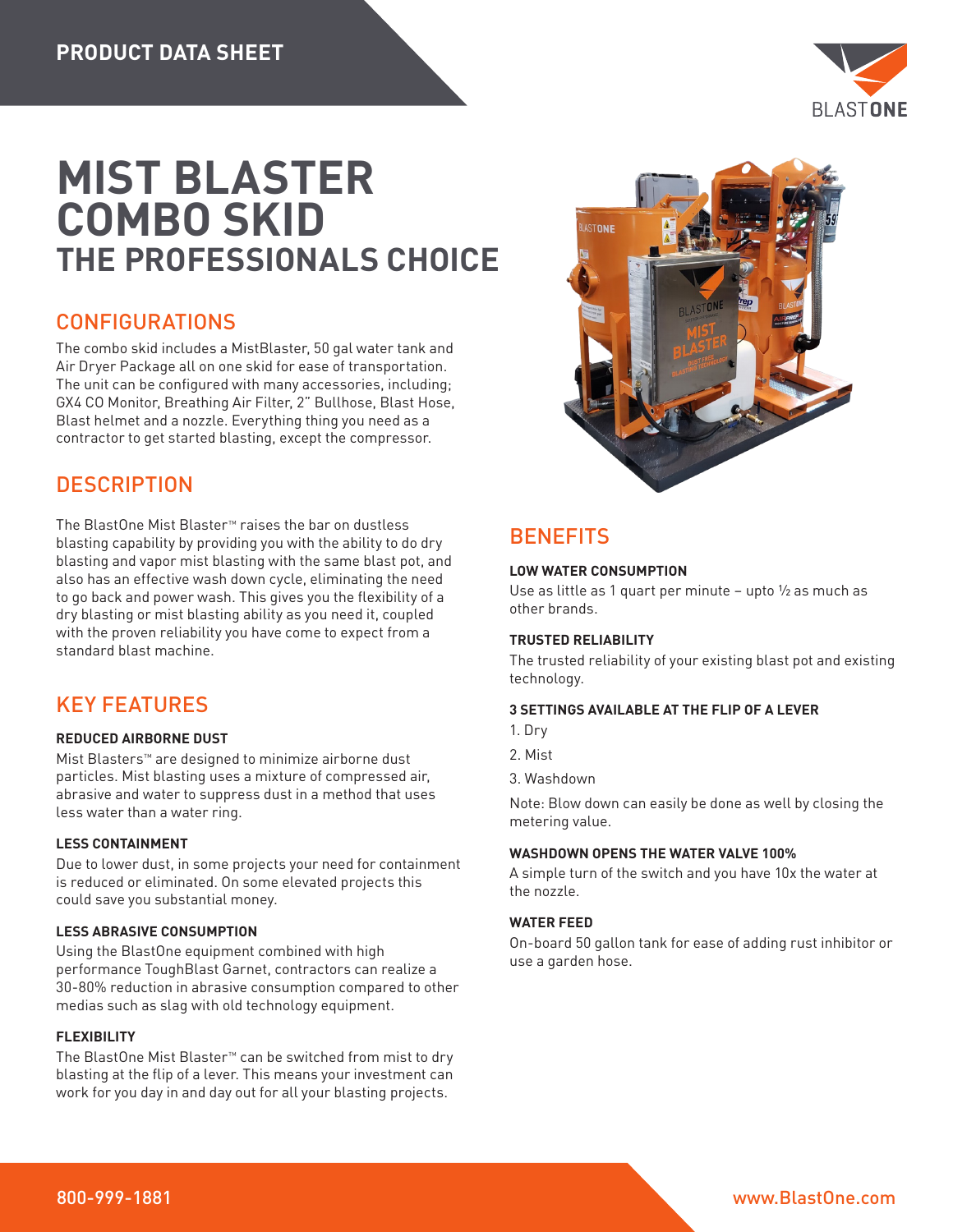

# **MIST BLASTER COMBO SKID THE PROFESSIONALS CHOICE**

### CONFIGURATIONS

The combo skid includes a MistBlaster, 50 gal water tank and Air Dryer Package all on one skid for ease of transportation. The unit can be configured with many accessories, including; GX4 CO Monitor, Breathing Air Filter, 2" Bullhose, Blast Hose, Blast helmet and a nozzle. Everything thing you need as a contractor to get started blasting, except the compressor.

### **DESCRIPTION**

The BlastOne Mist Blaster™ raises the bar on dustless blasting capability by providing you with the ability to do dry blasting and vapor mist blasting with the same blast pot, and also has an effective wash down cycle, eliminating the need to go back and power wash. This gives you the flexibility of a dry blasting or mist blasting ability as you need it, coupled with the proven reliability you have come to expect from a standard blast machine.

## KEY FEATURES

### **REDUCED AIRBORNE DUST**

Mist Blasters™ are designed to minimize airborne dust particles. Mist blasting uses a mixture of compressed air, abrasive and water to suppress dust in a method that uses less water than a water ring.

### **LESS CONTAINMENT**

Due to lower dust, in some projects your need for containment is reduced or eliminated. On some elevated projects this could save you substantial money.

### **LESS ABRASIVE CONSUMPTION**

Using the BlastOne equipment combined with high performance ToughBlast Garnet, contractors can realize a 30-80% reduction in abrasive consumption compared to other medias such as slag with old technology equipment.

### **FLEXIBILITY**

The BlastOne Mist Blaster™ can be switched from mist to dry blasting at the flip of a lever. This means your investment can work for you day in and day out for all your blasting projects.



# **BENEFITS**

### **LOW WATER CONSUMPTION**

Use as little as 1 quart per minute – upto ½ as much as other brands.

### **TRUSTED RELIABILITY**

The trusted reliability of your existing blast pot and existing technology.

### **3 SETTINGS AVAILABLE AT THE FLIP OF A LEVER**

- 1. Dry
- 2. Mist
- 3. Washdown

Note: Blow down can easily be done as well by closing the metering value.

### **WASHDOWN OPENS THE WATER VALVE 100%**

A simple turn of the switch and you have 10x the water at the nozzle.

### **WATER FEED**

On-board 50 gallon tank for ease of adding rust inhibitor or use a garden hose.